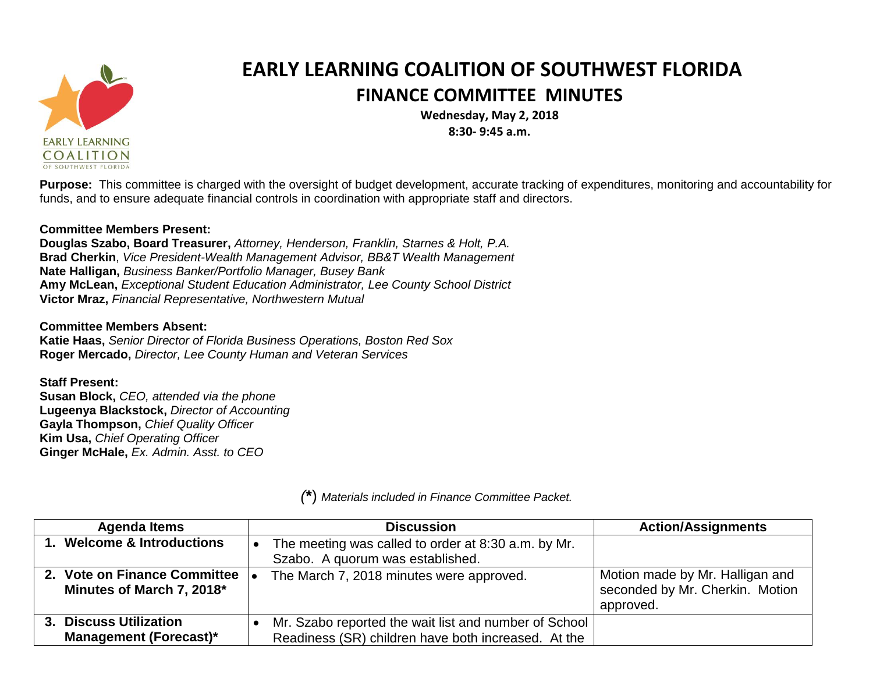

## **EARLY LEARNING COALITION OF SOUTHWEST FLORIDA FINANCE COMMITTEE MINUTES**

**Wednesday, May 2, 2018 8:30- 9:45 a.m.**

**Purpose:** This committee is charged with the oversight of budget development, accurate tracking of expenditures, monitoring and accountability for funds, and to ensure adequate financial controls in coordination with appropriate staff and directors.

## **Committee Members Present:**

**Douglas Szabo, Board Treasurer,** *Attorney, Henderson, Franklin, Starnes & Holt, P.A.* **Brad Cherkin**, *Vice President-Wealth Management Advisor, BB&T Wealth Management* **Nate Halligan,** *Business Banker/Portfolio Manager, Busey Bank* **Amy McLean,** *Exceptional Student Education Administrator, Lee County School District* **Victor Mraz,** *Financial Representative, Northwestern Mutual*

## **Committee Members Absent:**

**Katie Haas,** *Senior Director of Florida Business Operations, Boston Red Sox* **Roger Mercado,** *Director, Lee County Human and Veteran Services*

## **Staff Present:**

**Susan Block,** *CEO, attended via the phone* **Lugeenya Blackstock,** *Director of Accounting* **Gayla Thompson,** *Chief Quality Officer* **Kim Usa,** *Chief Operating Officer* **Ginger McHale,** *Ex. Admin. Asst. to CEO*

| <b>Agenda Items</b>                                       | <b>Discussion</b>                                                                                            | <b>Action/Assignments</b>                                                       |
|-----------------------------------------------------------|--------------------------------------------------------------------------------------------------------------|---------------------------------------------------------------------------------|
| 1. Welcome & Introductions                                | The meeting was called to order at 8:30 a.m. by Mr.<br>Szabo. A quorum was established.                      |                                                                                 |
| 2. Vote on Finance Committee<br>Minutes of March 7, 2018* | The March 7, 2018 minutes were approved.                                                                     | Motion made by Mr. Halligan and<br>seconded by Mr. Cherkin. Motion<br>approved. |
| 3. Discuss Utilization<br><b>Management (Forecast)*</b>   | Mr. Szabo reported the wait list and number of School<br>Readiness (SR) children have both increased. At the |                                                                                 |

*(***\***) *Materials included in Finance Committee Packet.*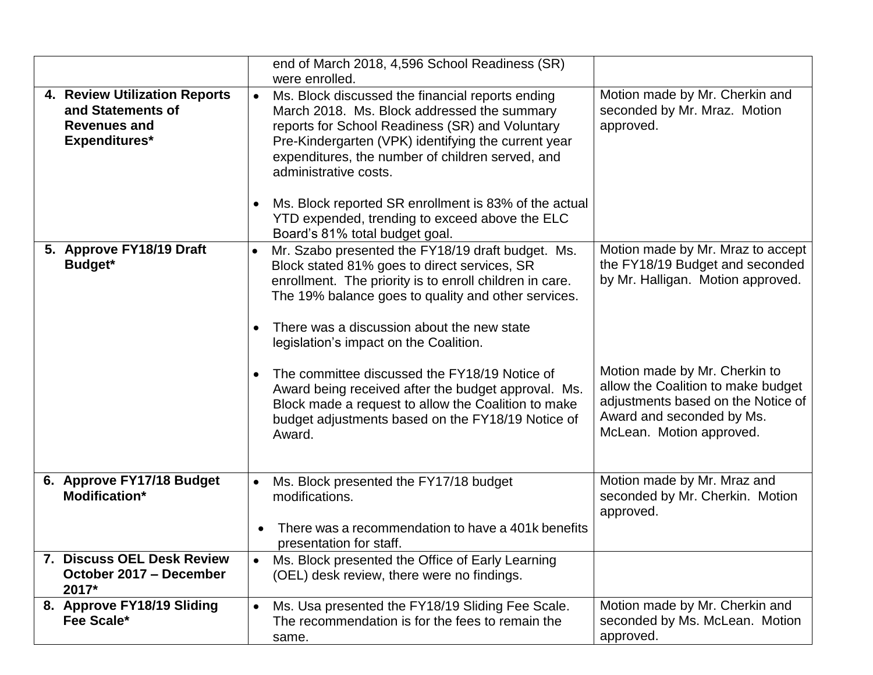|                                                                                            |                                     | end of March 2018, 4,596 School Readiness (SR)<br>were enrolled.                                                                                                                                                                                                                                                                                                                                  |                                                                                                                                            |
|--------------------------------------------------------------------------------------------|-------------------------------------|---------------------------------------------------------------------------------------------------------------------------------------------------------------------------------------------------------------------------------------------------------------------------------------------------------------------------------------------------------------------------------------------------|--------------------------------------------------------------------------------------------------------------------------------------------|
| 4. Review Utilization Reports<br>and Statements of<br><b>Revenues and</b><br>Expenditures* | $\bullet$<br>$\bullet$              | Ms. Block discussed the financial reports ending<br>March 2018. Ms. Block addressed the summary<br>reports for School Readiness (SR) and Voluntary<br>Pre-Kindergarten (VPK) identifying the current year<br>expenditures, the number of children served, and<br>administrative costs.<br>Ms. Block reported SR enrollment is 83% of the actual<br>YTD expended, trending to exceed above the ELC | Motion made by Mr. Cherkin and<br>seconded by Mr. Mraz. Motion<br>approved.                                                                |
| 5. Approve FY18/19 Draft<br><b>Budget*</b>                                                 | $\bullet$<br>$\bullet$<br>$\bullet$ | Board's 81% total budget goal.<br>Mr. Szabo presented the FY18/19 draft budget. Ms.<br>Block stated 81% goes to direct services, SR<br>enrollment. The priority is to enroll children in care.<br>The 19% balance goes to quality and other services.<br>There was a discussion about the new state<br>legislation's impact on the Coalition.<br>The committee discussed the FY18/19 Notice of    | Motion made by Mr. Mraz to accept<br>the FY18/19 Budget and seconded<br>by Mr. Halligan. Motion approved.<br>Motion made by Mr. Cherkin to |
|                                                                                            |                                     | Award being received after the budget approval. Ms.<br>Block made a request to allow the Coalition to make<br>budget adjustments based on the FY18/19 Notice of<br>Award.                                                                                                                                                                                                                         | allow the Coalition to make budget<br>adjustments based on the Notice of<br>Award and seconded by Ms.<br>McLean. Motion approved.          |
| 6. Approve FY17/18 Budget<br>Modification*                                                 |                                     | Ms. Block presented the FY17/18 budget<br>modifications.<br>There was a recommendation to have a 401k benefits<br>presentation for staff.                                                                                                                                                                                                                                                         | Motion made by Mr. Mraz and<br>seconded by Mr. Cherkin. Motion<br>approved.                                                                |
| 7. Discuss OEL Desk Review<br>October 2017 - December<br>2017*                             |                                     | Ms. Block presented the Office of Early Learning<br>(OEL) desk review, there were no findings.                                                                                                                                                                                                                                                                                                    |                                                                                                                                            |
| 8. Approve FY18/19 Sliding<br>Fee Scale*                                                   |                                     | Ms. Usa presented the FY18/19 Sliding Fee Scale.<br>The recommendation is for the fees to remain the<br>same.                                                                                                                                                                                                                                                                                     | Motion made by Mr. Cherkin and<br>seconded by Ms. McLean. Motion<br>approved.                                                              |